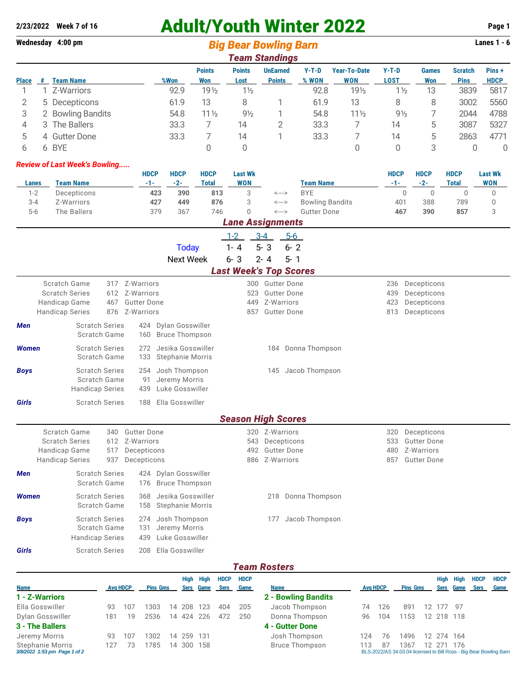## 2/23/2022 Week 7 of 16 **Adult/Youth Winter 2022** Page 1

**Wednesday 4:00 pm** *Big Bear Bowling Barn* **Lanes 1 - 6**

|              |                       |                  |      | <b>Diy Deal Duwllly Dalli</b> |                 |                 |       |                  |                 |              |                |             |  |  |  |
|--------------|-----------------------|------------------|------|-------------------------------|-----------------|-----------------|-------|------------------|-----------------|--------------|----------------|-------------|--|--|--|
|              | <b>Team Standings</b> |                  |      |                               |                 |                 |       |                  |                 |              |                |             |  |  |  |
|              |                       |                  |      | <b>Points</b>                 | <b>Points</b>   | <b>UnEarned</b> | Y-T-D | Year-To-Date     | Y-T-D           | <b>Games</b> | <b>Scratch</b> | Pins+       |  |  |  |
| <b>Place</b> |                       | <b>Team Name</b> | %Won | Won                           | Lost            | <b>Points</b>   | % WON | <b>WON</b>       | LOST            | Won          | <b>Pins</b>    | <b>HDCP</b> |  |  |  |
|              |                       | ZJMarriore       | റാ വ | 101 <sub>6</sub>              | 11 <sub>6</sub> |                 | ററ ഉ  | 101 <sub>6</sub> | 11 <sub>6</sub> |              | <b>3830</b>    | 5917        |  |  |  |

| Z-Warriors        | 92.9 | $19\frac{1}{2}$ | $1\frac{1}{2}$ | 92.8 | 19½             | $1\frac{1}{2}$ | 13 | 3839 | 5817   |
|-------------------|------|-----------------|----------------|------|-----------------|----------------|----|------|--------|
| 5 Decepticons     | 61.9 | 13              |                | 61.9 | 13              |                |    | 3002 | 5560   |
| 2 Bowling Bandits | 54.8 | 11 <sub>2</sub> | $9\frac{1}{2}$ | 54.8 | $11\frac{1}{2}$ | $9\frac{1}{2}$ |    | 2044 | 4788   |
| 3 The Ballers     | 33.3 |                 | 14             | 33.3 |                 | 14             | 5  | 3087 | 5327   |
| 4 Gutter Done     | 33.3 |                 | 14             | 33.3 |                 | 14             | b  | 2863 | 4771   |
| 6 BYE             |      |                 |                |      |                 |                |    |      | $\cup$ |
|                   |      |                 |                |      |                 |                |    |      |        |

## *Review of Last Week's Bowling.....*

**Girls** Scratch Series 208 Ella Gosswiller

|         |             | <b>HDCP</b> | <b>HDCP</b> | <b>HDCP</b> | Last Wk           |       |                        | <b>HDCP</b> | <b>HDCP</b> | <b>HDCP</b> | Last Wk    |
|---------|-------------|-------------|-------------|-------------|-------------------|-------|------------------------|-------------|-------------|-------------|------------|
| Lanes   | Team Name   | - 1 -       | -2-         | Total       | WON               |       | <b>Team Name</b>       | -1-         | $-2-$       | Total       | <b>WON</b> |
| $1 - 2$ | Decepticons | 423         | 390         | 813         |                   | <---> | <b>BYE</b>             |             |             |             |            |
| $3 - 4$ | Z-Warriors  | 427         | 449         | 876         |                   | <---> | <b>Bowling Bandits</b> | 401         | 388         | 789         |            |
| $5-6$   | The Ballers | 379         | 367         | 746         |                   | <---> | Gutter Done            | 467         | 390         | 857         |            |
|         |             |             |             |             | Lana Asalanmanada |       |                        |             |             |             |            |

|       |                        |     |                    |                       | <i>Lane Assignments</i>   |     |                |                               |     |             |  |
|-------|------------------------|-----|--------------------|-----------------------|---------------------------|-----|----------------|-------------------------------|-----|-------------|--|
|       |                        |     |                    |                       | $1 - 2$                   |     | $3 - 4$        | $5-6$                         |     |             |  |
|       |                        |     |                    | Today                 | 1-4                       |     | $5 - 3$        | $6 - 2$                       |     |             |  |
|       |                        |     |                    | <b>Next Week</b>      | $6 - 3$                   |     | $2 - 4$        | 5-1                           |     |             |  |
|       |                        |     |                    |                       |                           |     |                | <b>Last Week's Top Scores</b> |     |             |  |
|       | Scratch Game           | 317 | Z-Warriors         |                       |                           | 300 |                | <b>Gutter Done</b>            | 236 | Decepticons |  |
|       | <b>Scratch Series</b>  | 612 | Z-Warriors         |                       |                           | 523 |                | <b>Gutter Done</b>            | 439 | Decepticons |  |
|       | Handicap Game          | 467 | <b>Gutter Done</b> |                       |                           | 449 |                | Z-Warriors                    | 423 | Decepticons |  |
|       | <b>Handicap Series</b> | 876 | Z-Warriors         |                       |                           | 857 |                | <b>Gutter Done</b>            | 813 | Decepticons |  |
| Men   | <b>Scratch Series</b>  |     | 424                | Dylan Gosswiller      |                           |     |                |                               |     |             |  |
|       | Scratch Game           |     | 160                | <b>Bruce Thompson</b> |                           |     |                |                               |     |             |  |
| Women | <b>Scratch Series</b>  |     | 272                | Jesika Gosswiller     |                           |     |                | 184 Donna Thompson            |     |             |  |
|       | Scratch Game           |     | 133                | Stephanie Morris      |                           |     |                |                               |     |             |  |
| Boys  | <b>Scratch Series</b>  |     |                    | 254 Josh Thompson     |                           |     |                | 145 Jacob Thompson            |     |             |  |
|       | Scratch Game           |     | 91                 | Jeremy Morris         |                           |     |                |                               |     |             |  |
|       | <b>Handicap Series</b> |     | 439                | Luke Gosswiller       |                           |     |                |                               |     |             |  |
| Girls | <b>Scratch Series</b>  |     | 188                | Ella Gosswiller       |                           |     |                |                               |     |             |  |
|       |                        |     |                    |                       | <b>Season High Scores</b> |     |                |                               |     |             |  |
|       | Scratch Game           | 340 | Gutter Done        |                       |                           |     | 320 Z-Warriors |                               | 320 | Decepticons |  |

| Scratch Game<br><b>Scratch Series</b><br>Handicap Game<br><b>Handicap Series</b> |                                                                 | 517<br>937 | 340 Gutter Done<br>612 Z-Warriors<br>Decepticons<br>Decepticons |                                                       | 320 Z-Warriors<br>543 Decepticons<br>492 Gutter Done<br>886 Z-Warriors | 320<br>533<br>480<br>857 | Decepticons<br><b>Gutter Done</b><br>Z-Warriors<br><b>Gutter Done</b> |
|----------------------------------------------------------------------------------|-----------------------------------------------------------------|------------|-----------------------------------------------------------------|-------------------------------------------------------|------------------------------------------------------------------------|--------------------------|-----------------------------------------------------------------------|
| <b>Men</b>                                                                       | <b>Scratch Series</b><br>Scratch Game                           |            |                                                                 | 424 Dylan Gosswiller<br>176 Bruce Thompson            |                                                                        |                          |                                                                       |
| <b>Women</b>                                                                     | <b>Scratch Series</b><br>Scratch Game                           |            | 368                                                             | Jesika Gosswiller<br>158 Stephanie Morris             | Donna Thompson<br>218                                                  |                          |                                                                       |
| <b>Boys</b>                                                                      | <b>Scratch Series</b><br>Scratch Game<br><b>Handicap Series</b> |            | 131<br>439                                                      | 274 Josh Thompson<br>Jeremy Morris<br>Luke Gosswiller | Jacob Thompson<br>177                                                  |                          |                                                                       |

## *Team Rosters*

|                                                         |                 |     |                 |          | Hiah        | High                | <b>HDCP</b> | <b>HDCP</b> |                       |                 |     |                                                                            |     | High        | High    | <b>HDCP</b> | <b>HDCP</b> |
|---------------------------------------------------------|-----------------|-----|-----------------|----------|-------------|---------------------|-------------|-------------|-----------------------|-----------------|-----|----------------------------------------------------------------------------|-----|-------------|---------|-------------|-------------|
| <b>Name</b>                                             | <b>Avg HDCP</b> |     | <b>Pins Gms</b> |          | <b>Sers</b> | Game<br><b>Sers</b> |             | Game        | <b>Name</b>           | <b>Avg HDCP</b> |     | <b>Pins Gms</b>                                                            |     | <b>Sers</b> | Game    | Sers        | Game        |
| 1 - Z-Warriors                                          |                 |     |                 |          |             |                     |             |             | 2 - Bowling Bandits   |                 |     |                                                                            |     |             |         |             |             |
| Ella Gosswiller                                         | 93              | 107 | 1303            | 4        | 208         | 123                 | 404         | 205         | Jacob Thompson        | 74              | 126 | 891                                                                        | 12  |             | 177 97  |             |             |
| Dylan Gosswiller                                        | 181             | 19  | 2536            | 14       | 424         | 226                 | 472         | 250         | Donna Thompson        | 96              | 104 | 1153                                                                       | 12  | 218 118     |         |             |             |
| 3 - The Ballers                                         |                 |     |                 |          |             |                     |             |             | 4 - Gutter Done       |                 |     |                                                                            |     |             |         |             |             |
| Jeremy Morris                                           | 93              | 107 | 1302            | <b>4</b> | 259         | 131                 |             |             | Josh Thompson         | 124             | 76  | 1496                                                                       | 12. |             | 274 164 |             |             |
| <b>Stephanie Morris</b><br>3/8/2022 1:53 pm Page 1 of 2 | 127             | 73  | 785             | 4        | 300         | 158                 |             |             | <b>Bruce Thompson</b> |                 | 87  | 1367<br>BLS-2022/AS 34.03.04 licensed to Bill Ross - Big Bear Bowling Barn |     |             | 176     |             |             |